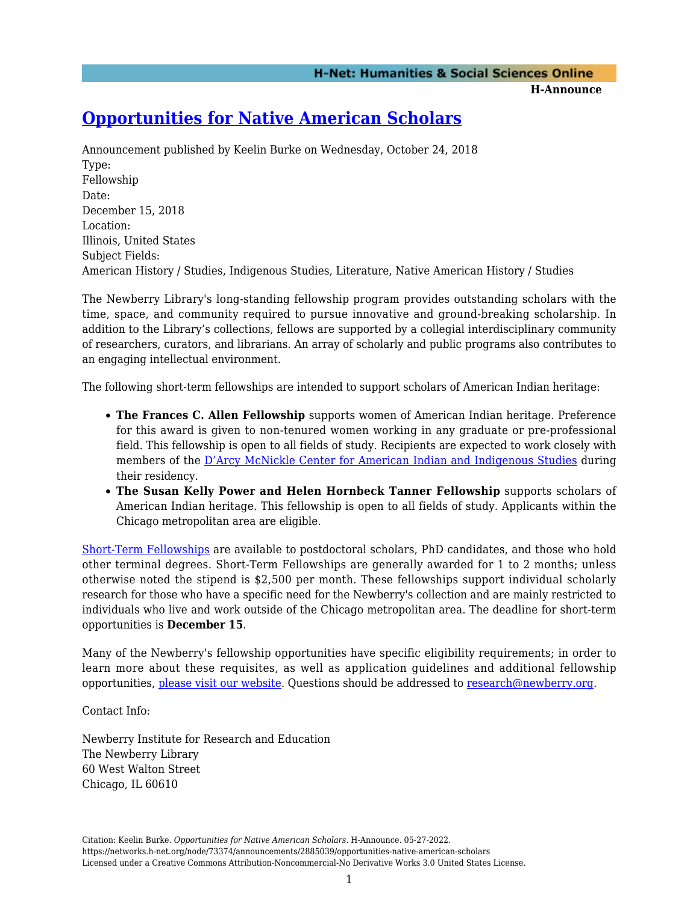**H-Announce** 

## **[Opportunities for Native American Scholars](https://networks.h-net.org/node/73374/announcements/2885039/opportunities-native-american-scholars)**

Announcement published by Keelin Burke on Wednesday, October 24, 2018 Type: Fellowship Date: December 15, 2018 Location: Illinois, United States Subject Fields: American History / Studies, Indigenous Studies, Literature, Native American History / Studies

The Newberry Library's long-standing fellowship program provides outstanding scholars with the time, space, and community required to pursue innovative and ground-breaking scholarship. In addition to the Library's collections, fellows are supported by a collegial interdisciplinary community of researchers, curators, and librarians. An array of scholarly and public programs also contributes to an engaging intellectual environment.

The following short-term fellowships are intended to support scholars of American Indian heritage:

- **The Frances C. Allen Fellowship** supports women of American Indian heritage. Preference for this award is given to non-tenured women working in any graduate or pre-professional field. This fellowship is open to all fields of study. Recipients are expected to work closely with members of the [D'Arcy McNickle Center for American Indian and Indigenous Studies](https://www.newberry.org/darcy-mcnickle-center-american-indian-and-indigenous-studies) during their residency.
- **The Susan Kelly Power and Helen Hornbeck Tanner Fellowship** supports scholars of American Indian heritage. This fellowship is open to all fields of study. Applicants within the Chicago metropolitan area are eligible.

[Short-Term Fellowships](https://www.newberry.org/short-term-fellowships) are available to postdoctoral scholars, PhD candidates, and those who hold other terminal degrees. Short-Term Fellowships are generally awarded for 1 to 2 months; unless otherwise noted the stipend is \$2,500 per month. These fellowships support individual scholarly research for those who have a specific need for the Newberry's collection and are mainly restricted to individuals who live and work outside of the Chicago metropolitan area. The deadline for short-term opportunities is **December 15**.

Many of the Newberry's fellowship opportunities have specific eligibility requirements; in order to learn more about these requisites, as well as application guidelines and additional fellowship opportunities, [please visit our website](https://www.newberry.org/fellowships). Questions should be addressed to [research@newberry.org](mailto:research@newberry.org).

Contact Info:

Newberry Institute for Research and Education The Newberry Library 60 West Walton Street Chicago, IL 60610

Citation: Keelin Burke. *Opportunities for Native American Scholars*. H-Announce. 05-27-2022. https://networks.h-net.org/node/73374/announcements/2885039/opportunities-native-american-scholars Licensed under a Creative Commons Attribution-Noncommercial-No Derivative Works 3.0 United States License.